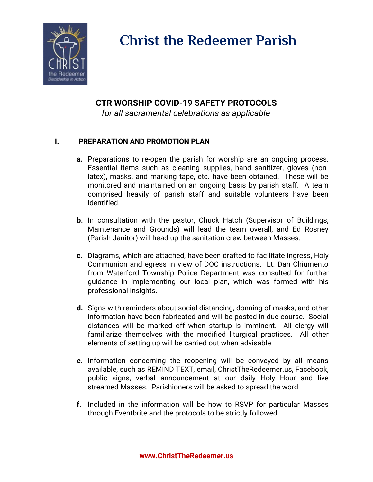

# **Christ the Redeemer Parish**

# **CTR WORSHIP COVID-19 SAFETY PROTOCOLS**

*for all sacramental celebrations as applicable*

### **I. PREPARATION AND PROMOTION PLAN**

- **a.** Preparations to re-open the parish for worship are an ongoing process. Essential items such as cleaning supplies, hand sanitizer, gloves (nonlatex), masks, and marking tape, etc. have been obtained. These will be monitored and maintained on an ongoing basis by parish staff. A team comprised heavily of parish staff and suitable volunteers have been identified.
- **b.** In consultation with the pastor, Chuck Hatch (Supervisor of Buildings, Maintenance and Grounds) will lead the team overall, and Ed Rosney (Parish Janitor) will head up the sanitation crew between Masses.
- **c.** Diagrams, which are attached, have been drafted to facilitate ingress, Holy Communion and egress in view of DOC instructions. Lt. Dan Chiumento from Waterford Township Police Department was consulted for further guidance in implementing our local plan, which was formed with his professional insights.
- **d.** Signs with reminders about social distancing, donning of masks, and other information have been fabricated and will be posted in due course. Social distances will be marked off when startup is imminent. All clergy will familiarize themselves with the modified liturgical practices. All other elements of setting up will be carried out when advisable.
- **e.** Information concerning the reopening will be conveyed by all means available, such as REMIND TEXT, email, ChristTheRedeemer.us, Facebook, public signs, verbal announcement at our daily Holy Hour and live streamed Masses. Parishioners will be asked to spread the word.
- **f.** Included in the information will be how to RSVP for particular Masses through Eventbrite and the protocols to be strictly followed.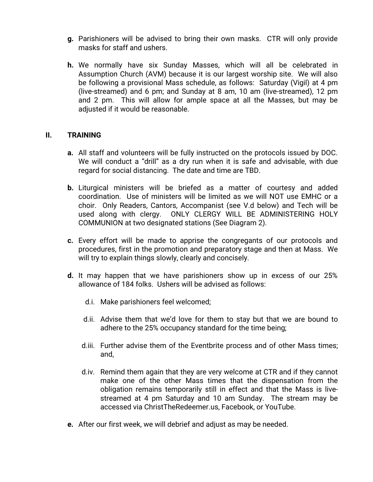- **g.** Parishioners will be advised to bring their own masks. CTR will only provide masks for staff and ushers.
- **h.** We normally have six Sunday Masses, which will all be celebrated in Assumption Church (AVM) because it is our largest worship site. We will also be following a provisional Mass schedule, as follows: Saturday (Vigil) at 4 pm (live-streamed) and 6 pm; and Sunday at 8 am, 10 am (live-streamed), 12 pm and 2 pm. This will allow for ample space at all the Masses, but may be adjusted if it would be reasonable.

#### **II. TRAINING**

- **a.** All staff and volunteers will be fully instructed on the protocols issued by DOC. We will conduct a "drill" as a dry run when it is safe and advisable, with due regard for social distancing. The date and time are TBD.
- **b.** Liturgical ministers will be briefed as a matter of courtesy and added coordination. Use of ministers will be limited as we will NOT use EMHC or a choir. Only Readers, Cantors, Accompanist (see V.d below) and Tech will be used along with clergy. ONLY CLERGY WILL BE ADMINISTERING HOLY COMMUNION at two designated stations (See Diagram 2).
- **c.** Every effort will be made to apprise the congregants of our protocols and procedures, first in the promotion and preparatory stage and then at Mass. We will try to explain things slowly, clearly and concisely.
- **d.** It may happen that we have parishioners show up in excess of our 25% allowance of 184 folks. Ushers will be advised as follows:
	- d.i. Make parishioners feel welcomed;
	- d.ii. Advise them that we'd love for them to stay but that we are bound to adhere to the 25% occupancy standard for the time being;
	- d.iii. Further advise them of the Eventbrite process and of other Mass times; and,
	- d.iv. Remind them again that they are very welcome at CTR and if they cannot make one of the other Mass times that the dispensation from the obligation remains temporarily still in effect and that the Mass is livestreamed at 4 pm Saturday and 10 am Sunday. The stream may be accessed via ChristTheRedeemer.us, Facebook, or YouTube.
- **e.** After our first week, we will debrief and adjust as may be needed.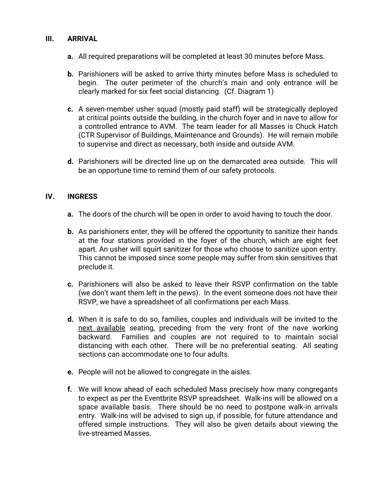#### **III. ARRIVAL**

- **a.** All required preparations will be completed at least 30 minutes before Mass.
- **b.** Parishioners will be asked to arrive thirty minutes before Mass is scheduled to begin. The outer perimeter of the church's main and only entrance will be clearly marked for six feet social distancing. (Cf. Diagram 1)
- **c.** A seven-member usher squad (mostly paid staff) will be strategically deployed at critical points outside the building, in the church foyer and in nave to allow for a controlled entrance to AVM. The team leader for all Masses is Chuck Hatch (CTR Supervisor of Buildings, Maintenance and Grounds). He will remain mobile to supervise and direct as necessary, both inside and outside AVM.
- **d.** Parishioners will be directed line up on the demarcated area outside. This will be an opportune time to remind them of our safety protocols.

#### **IV. INGRESS**

- **a.** The doors of the church will be open in order to avoid having to touch the door.
- **b.** As parishioners enter, they will be offered the opportunity to sanitize their hands at the four stations provided in the foyer of the church, which are eight feet apart. An usher will squirt sanitizer for those who choose to sanitize upon entry. This cannot be imposed since some people may suffer from skin sensitives that preclude it.
- **c.** Parishioners will also be asked to leave their RSVP confirmation on the table (we don't want them left in the pews). In the event someone does not have their RSVP, we have a spreadsheet of all confirmations per each Mass.
- **d.** When it is safe to do so, families, couples and individuals will be invited to the next available seating, preceding from the very front of the nave working backward. Families and couples are not required to to maintain social distancing with each other. There will be no preferential seating. All seating sections can accommodate one to four adults.
- **e.** People will not be allowed to congregate in the aisles.
- **f.** We will know ahead of each scheduled Mass precisely how many congregants to expect as per the Eventbrite RSVP spreadsheet. Walk-ins will be allowed on a space available basis. There should be no need to postpone walk-in arrivals entry. Walk-ins will be advised to sign up, if possible, for future attendance and offered simple instructions. They will also be given details about viewing the live-streamed Masses.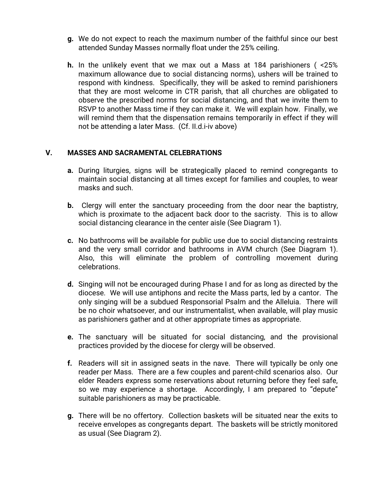- **g.** We do not expect to reach the maximum number of the faithful since our best attended Sunday Masses normally float under the 25% ceiling.
- **h.** In the unlikely event that we max out a Mass at 184 parishioners ( <25% maximum allowance due to social distancing norms), ushers will be trained to respond with kindness. Specifically, they will be asked to remind parishioners that they are most welcome in CTR parish, that all churches are obligated to observe the prescribed norms for social distancing, and that we invite them to RSVP to another Mass time if they can make it. We will explain how. Finally, we will remind them that the dispensation remains temporarily in effect if they will not be attending a later Mass. (Cf. II.d.i-iv above)

#### **V. MASSES AND SACRAMENTAL CELEBRATIONS**

- **a.** During liturgies, signs will be strategically placed to remind congregants to maintain social distancing at all times except for families and couples, to wear masks and such.
- **b.** Clergy will enter the sanctuary proceeding from the door near the baptistry, which is proximate to the adjacent back door to the sacristy. This is to allow social distancing clearance in the center aisle (See Diagram 1).
- **c.** No bathrooms will be available for public use due to social distancing restraints and the very small corridor and bathrooms in AVM church (See Diagram 1). Also, this will eliminate the problem of controlling movement during celebrations.
- **d.** Singing will not be encouraged during Phase I and for as long as directed by the diocese. We will use antiphons and recite the Mass parts, led by a cantor. The only singing will be a subdued Responsorial Psalm and the Alleluia. There will be no choir whatsoever, and our instrumentalist, when available, will play music as parishioners gather and at other appropriate times as appropriate.
- **e.** The sanctuary will be situated for social distancing, and the provisional practices provided by the diocese for clergy will be observed.
- **f.** Readers will sit in assigned seats in the nave. There will typically be only one reader per Mass. There are a few couples and parent-child scenarios also. Our elder Readers express some reservations about returning before they feel safe, so we may experience a shortage. Accordingly, I am prepared to "depute" suitable parishioners as may be practicable.
- **g.** There will be no offertory. Collection baskets will be situated near the exits to receive envelopes as congregants depart. The baskets will be strictly monitored as usual (See Diagram 2).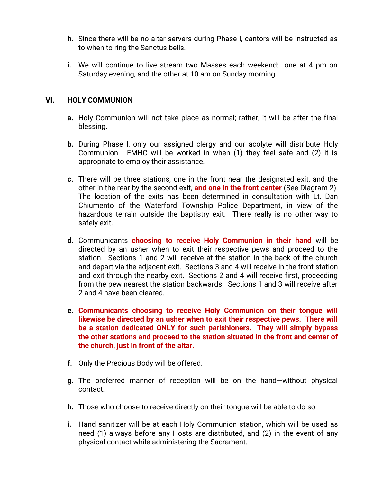- **h.** Since there will be no altar servers during Phase I, cantors will be instructed as to when to ring the Sanctus bells.
- **i.** We will continue to live stream two Masses each weekend: one at 4 pm on Saturday evening, and the other at 10 am on Sunday morning.

#### **VI. HOLY COMMUNION**

- **a.** Holy Communion will not take place as normal; rather, it will be after the final blessing.
- **b.** During Phase I, only our assigned clergy and our acolyte will distribute Holy Communion. EMHC will be worked in when (1) they feel safe and (2) it is appropriate to employ their assistance.
- **c.** There will be three stations, one in the front near the designated exit, and the other in the rear by the second exit, **and one in the front center** (See Diagram 2). The location of the exits has been determined in consultation with Lt. Dan Chiumento of the Waterford Township Police Department, in view of the hazardous terrain outside the baptistry exit. There really is no other way to safely exit.
- **d.** Communicants **choosing to receive Holy Communion in their hand** will be directed by an usher when to exit their respective pews and proceed to the station. Sections 1 and 2 will receive at the station in the back of the church and depart via the adjacent exit. Sections 3 and 4 will receive in the front station and exit through the nearby exit. Sections 2 and 4 will receive first, proceeding from the pew nearest the station backwards. Sections 1 and 3 will receive after 2 and 4 have been cleared.
- **e. Communicants choosing to receive Holy Communion on their tongue will likewise be directed by an usher when to exit their respective pews. There will be a station dedicated ONLY for such parishioners. They will simply bypass the other stations and proceed to the station situated in the front and center of the church, just in front of the altar.**
- **f.** Only the Precious Body will be offered.
- **g.** The preferred manner of reception will be on the hand—without physical contact.
- **h.** Those who choose to receive directly on their tongue will be able to do so.
- **i.** Hand sanitizer will be at each Holy Communion station, which will be used as need (1) always before any Hosts are distributed, and (2) in the event of any physical contact while administering the Sacrament.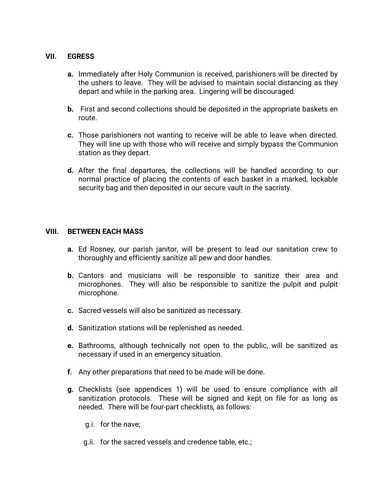#### **VII. EGRESS**

- **a.** Immediately after Holy Communion is received, parishioners will be directed by the ushers to leave. They will be advised to maintain social distancing as they depart and while in the parking area. Lingering will be discouraged.
- **b.** First and second collections should be deposited in the appropriate baskets en route.
- **c.** Those parishioners not wanting to receive will be able to leave when directed. They will line up with those who will receive and simply bypass the Communion station as they depart.
- **d.** After the final departures, the collections will be handled according to our normal practice of placing the contents of each basket in a marked, lockable security bag and then deposited in our secure vault in the sacristy.

#### **VIII. BETWEEN EACH MASS**

- **a.** Ed Rosney, our parish janitor, will be present to lead our sanitation crew to thoroughly and efficiently sanitize all pew and door handles.
- **b.** Cantors and musicians will be responsible to sanitize their area and microphones. They will also be responsible to sanitize the pulpit and pulpit microphone.
- **c.** Sacred vessels will also be sanitized as necessary.
- **d.** Sanitization stations will be replenished as needed.
- **e.** Bathrooms, although technically not open to the public, will be sanitized as necessary if used in an emergency situation.
- **f.** Any other preparations that need to be made will be done.
- **g.** Checklists (see appendices 1) will be used to ensure compliance with all sanitization protocols. These will be signed and kept on file for as long as needed. There will be four-part checklists, as follows:
	- g.i. for the nave;
	- g.ii. for the sacred vessels and credence table, etc.;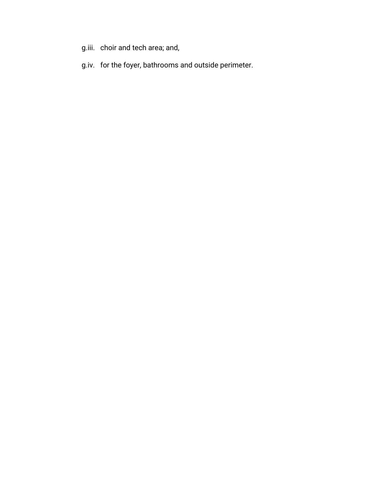- g.iii. choir and tech area; and,
- g.iv. for the foyer, bathrooms and outside perimeter.